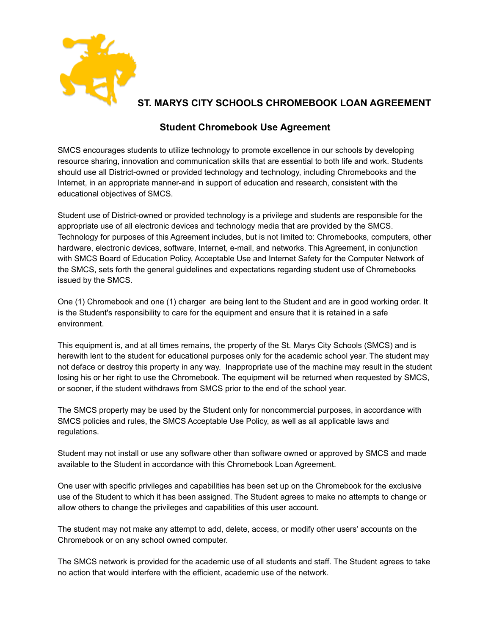

## **ST. MARYS CITY SCHOOLS CHROMEBOOK LOAN AGREEMENT**

## **Student Chromebook Use Agreement**

SMCS encourages students to utilize technology to promote excellence in our schools by developing resource sharing, innovation and communication skills that are essential to both life and work. Students should use all District-owned or provided technology and technology, including Chromebooks and the Internet, in an appropriate manner-and in support of education and research, consistent with the educational objectives of SMCS.

Student use of District-owned or provided technology is a privilege and students are responsible for the appropriate use of all electronic devices and technology media that are provided by the SMCS. Technology for purposes of this Agreement includes, but is not limited to: Chromebooks, computers, other hardware, electronic devices, software, Internet, e-mail, and networks. This Agreement, in conjunction with SMCS Board of Education Policy, Acceptable Use and Internet Safety for the Computer Network of the SMCS, sets forth the general guidelines and expectations regarding student use of Chromebooks issued by the SMCS.

One (1) Chromebook and one (1) charger are being lent to the Student and are in good working order. It is the Student's responsibility to care for the equipment and ensure that it is retained in a safe environment.

This equipment is, and at all times remains, the property of the St. Marys City Schools (SMCS) and is herewith lent to the student for educational purposes only for the academic school year. The student may not deface or destroy this property in any way. Inappropriate use of the machine may result in the student losing his or her right to use the Chromebook. The equipment will be returned when requested by SMCS, or sooner, if the student withdraws from SMCS prior to the end of the school year.

The SMCS property may be used by the Student only for noncommercial purposes, in accordance with SMCS policies and rules, the SMCS Acceptable Use Policy, as well as all applicable laws and regulations.

Student may not install or use any software other than software owned or approved by SMCS and made available to the Student in accordance with this Chromebook Loan Agreement.

One user with specific privileges and capabilities has been set up on the Chromebook for the exclusive use of the Student to which it has been assigned. The Student agrees to make no attempts to change or allow others to change the privileges and capabilities of this user account.

The student may not make any attempt to add, delete, access, or modify other users' accounts on the Chromebook or on any school owned computer.

The SMCS network is provided for the academic use of all students and staff. The Student agrees to take no action that would interfere with the efficient, academic use of the network.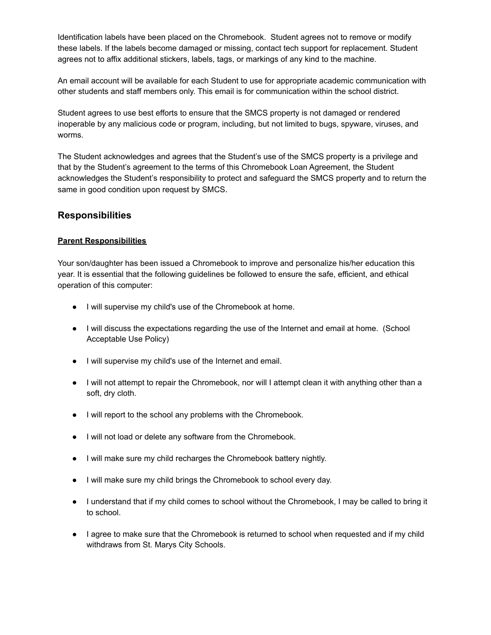Identification labels have been placed on the Chromebook. Student agrees not to remove or modify these labels. If the labels become damaged or missing, contact tech support for replacement. Student agrees not to affix additional stickers, labels, tags, or markings of any kind to the machine.

An email account will be available for each Student to use for appropriate academic communication with other students and staff members only. This email is for communication within the school district.

Student agrees to use best efforts to ensure that the SMCS property is not damaged or rendered inoperable by any malicious code or program, including, but not limited to bugs, spyware, viruses, and worms.

The Student acknowledges and agrees that the Student's use of the SMCS property is a privilege and that by the Student's agreement to the terms of this Chromebook Loan Agreement, the Student acknowledges the Student's responsibility to protect and safeguard the SMCS property and to return the same in good condition upon request by SMCS.

## **Responsibilities**

#### **Parent Responsibilities**

Your son/daughter has been issued a Chromebook to improve and personalize his/her education this year. It is essential that the following guidelines be followed to ensure the safe, efficient, and ethical operation of this computer:

- I will supervise my child's use of the Chromebook at home.
- I will discuss the expectations regarding the use of the Internet and email at home. (School Acceptable Use Policy)
- I will supervise my child's use of the Internet and email.
- I will not attempt to repair the Chromebook, nor will I attempt clean it with anything other than a soft, dry cloth.
- I will report to the school any problems with the Chromebook.
- I will not load or delete any software from the Chromebook.
- I will make sure my child recharges the Chromebook battery nightly.
- I will make sure my child brings the Chromebook to school every day.
- I understand that if my child comes to school without the Chromebook, I may be called to bring it to school.
- I agree to make sure that the Chromebook is returned to school when requested and if my child withdraws from St. Marys City Schools.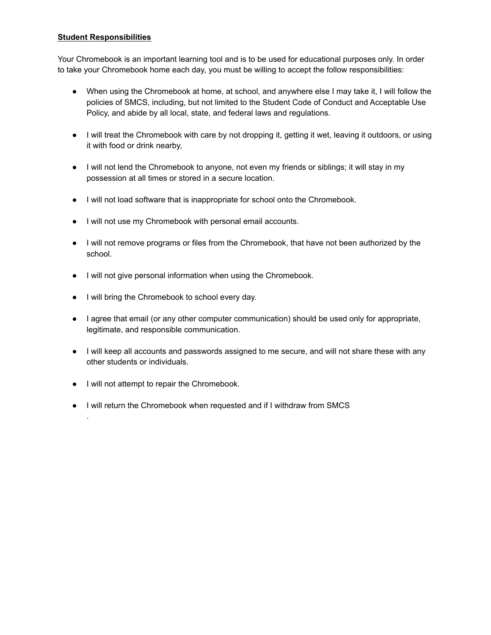#### **Student Responsibilities**

Your Chromebook is an important learning tool and is to be used for educational purposes only. In order to take your Chromebook home each day, you must be willing to accept the follow responsibilities:

- When using the Chromebook at home, at school, and anywhere else I may take it, I will follow the policies of SMCS, including, but not limited to the Student Code of Conduct and Acceptable Use Policy, and abide by all local, state, and federal laws and regulations.
- I will treat the Chromebook with care by not dropping it, getting it wet, leaving it outdoors, or using it with food or drink nearby,
- I will not lend the Chromebook to anyone, not even my friends or siblings; it will stay in my possession at all times or stored in a secure location.
- I will not load software that is inappropriate for school onto the Chromebook.
- I will not use my Chromebook with personal email accounts.
- I will not remove programs or files from the Chromebook, that have not been authorized by the school.
- I will not give personal information when using the Chromebook.
- I will bring the Chromebook to school every day.
- I agree that email (or any other computer communication) should be used only for appropriate, legitimate, and responsible communication.
- I will keep all accounts and passwords assigned to me secure, and will not share these with any other students or individuals.
- I will not attempt to repair the Chromebook.

.

● I will return the Chromebook when requested and if I withdraw from SMCS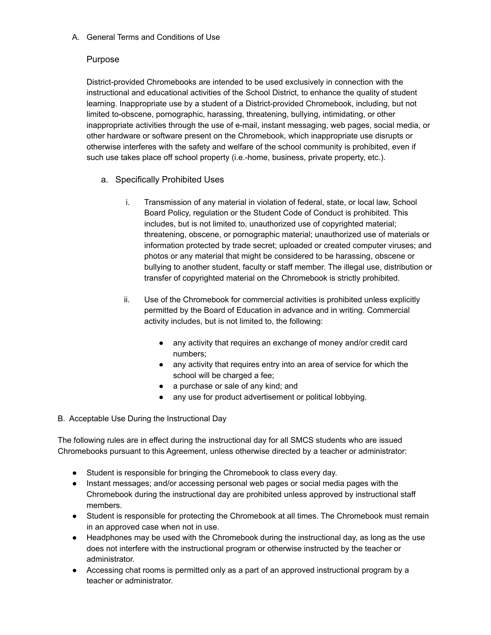A. General Terms and Conditions of Use

## Purpose

District-provided Chromebooks are intended to be used exclusively in connection with the instructional and educational activities of the School District, to enhance the quality of student learning. Inappropriate use by a student of a District-provided Chromebook, including, but not limited to-obscene, pornographic, harassing, threatening, bullying, intimidating, or other inappropriate activities through the use of e-mail, instant messaging, web pages, social media, or other hardware or software present on the Chromebook, which inappropriate use disrupts or otherwise interferes with the safety and welfare of the school community is prohibited, even if such use takes place off school property (i.e.-home, business, private property, etc.).

- a. Specifically Prohibited Uses
	- i. Transmission of any material in violation of federal, state, or local law, School Board Policy, regulation or the Student Code of Conduct is prohibited. This includes, but is not limited to, unauthorized use of copyrighted material; threatening, obscene, or pornographic material; unauthorized use of materials or information protected by trade secret; uploaded or created computer viruses; and photos or any material that might be considered to be harassing, obscene or bullying to another student, faculty or staff member. The illegal use, distribution or transfer of copyrighted material on the Chromebook is strictly prohibited.
	- ii. Use of the Chromebook for commercial activities is prohibited unless explicitly permitted by the Board of Education in advance and in writing. Commercial activity includes, but is not limited to, the following:
		- any activity that requires an exchange of money and/or credit card numbers;
		- any activity that requires entry into an area of service for which the school will be charged a fee;
		- a purchase or sale of any kind; and
		- any use for product advertisement or political lobbying.

## B. Acceptable Use During the Instructional Day

The following rules are in effect during the instructional day for all SMCS students who are issued Chromebooks pursuant to this Agreement, unless otherwise directed by a teacher or administrator:

- Student is responsible for bringing the Chromebook to class every day.
- Instant messages; and/or accessing personal web pages or social media pages with the Chromebook during the instructional day are prohibited unless approved by instructional staff members.
- Student is responsible for protecting the Chromebook at all times. The Chromebook must remain in an approved case when not in use.
- Headphones may be used with the Chromebook during the instructional day, as long as the use does not interfere with the instructional program or otherwise instructed by the teacher or administrator.
- Accessing chat rooms is permitted only as a part of an approved instructional program by a teacher or administrator.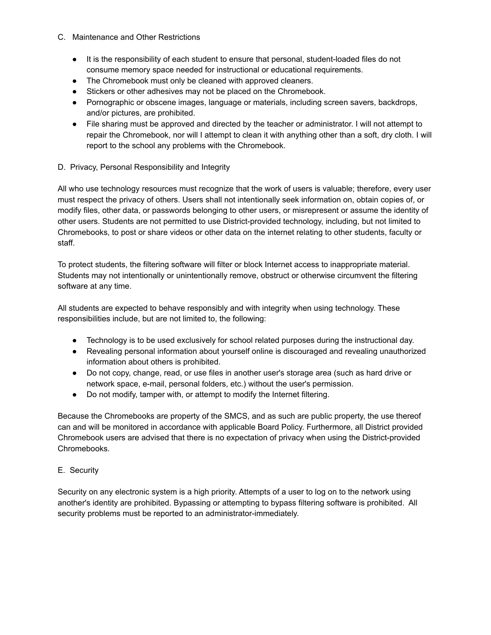- C. Maintenance and Other Restrictions
	- It is the responsibility of each student to ensure that personal, student-loaded files do not consume memory space needed for instructional or educational requirements.
	- The Chromebook must only be cleaned with approved cleaners.
	- Stickers or other adhesives may not be placed on the Chromebook.
	- Pornographic or obscene images, language or materials, including screen savers, backdrops, and/or pictures, are prohibited.
	- File sharing must be approved and directed by the teacher or administrator. I will not attempt to repair the Chromebook, nor will I attempt to clean it with anything other than a soft, dry cloth. I will report to the school any problems with the Chromebook.

#### D. Privacy, Personal Responsibility and Integrity

All who use technology resources must recognize that the work of users is valuable; therefore, every user must respect the privacy of others. Users shall not intentionally seek information on, obtain copies of, or modify files, other data, or passwords belonging to other users, or misrepresent or assume the identity of other users. Students are not permitted to use District-provided technology, including, but not limited to Chromebooks, to post or share videos or other data on the internet relating to other students, faculty or staff.

To protect students, the filtering software will filter or block Internet access to inappropriate material. Students may not intentionally or unintentionally remove, obstruct or otherwise circumvent the filtering software at any time.

All students are expected to behave responsibly and with integrity when using technology. These responsibilities include, but are not limited to, the following:

- Technology is to be used exclusively for school related purposes during the instructional day.
- Revealing personal information about yourself online is discouraged and revealing unauthorized information about others is prohibited.
- Do not copy, change, read, or use files in another user's storage area (such as hard drive or network space, e-mail, personal folders, etc.) without the user's permission.
- Do not modify, tamper with, or attempt to modify the Internet filtering.

Because the Chromebooks are property of the SMCS, and as such are public property, the use thereof can and will be monitored in accordance with applicable Board Policy. Furthermore, all District provided Chromebook users are advised that there is no expectation of privacy when using the District-provided Chromebooks.

#### E. Security

Security on any electronic system is a high priority. Attempts of a user to log on to the network using another's identity are prohibited. Bypassing or attempting to bypass filtering software is prohibited. All security problems must be reported to an administrator-immediately.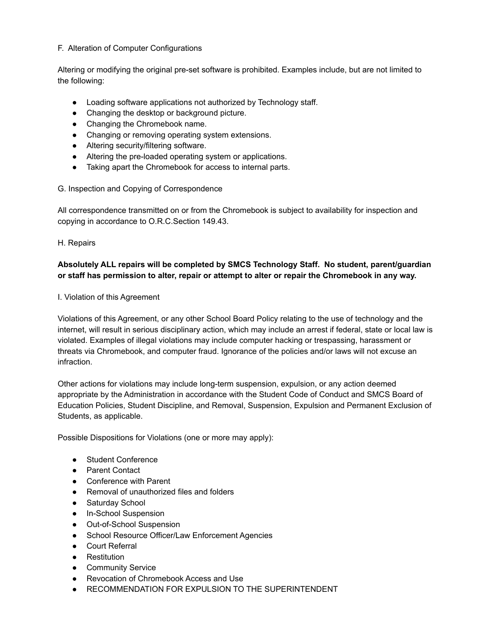#### F. Alteration of Computer Configurations

Altering or modifying the original pre-set software is prohibited. Examples include, but are not limited to the following:

- Loading software applications not authorized by Technology staff.
- Changing the desktop or background picture.
- Changing the Chromebook name.
- Changing or removing operating system extensions.
- Altering security/filtering software.
- Altering the pre-loaded operating system or applications.
- Taking apart the Chromebook for access to internal parts.

#### G. Inspection and Copying of Correspondence

All correspondence transmitted on or from the Chromebook is subject to availability for inspection and copying in accordance to O.R.C.Section 149.43.

#### H. Repairs

## **Absolutely ALL repairs will be completed by SMCS Technology Staff. No student, parent/guardian or staff has permission to alter, repair or attempt to alter or repair the Chromebook in any way.**

#### I. Violation of this Agreement

Violations of this Agreement, or any other School Board Policy relating to the use of technology and the internet, will result in serious disciplinary action, which may include an arrest if federal, state or local law is violated. Examples of illegal violations may include computer hacking or trespassing, harassment or threats via Chromebook, and computer fraud. Ignorance of the policies and/or laws will not excuse an infraction.

Other actions for violations may include long-term suspension, expulsion, or any action deemed appropriate by the Administration in accordance with the Student Code of Conduct and SMCS Board of Education Policies, Student Discipline, and Removal, Suspension, Expulsion and Permanent Exclusion of Students, as applicable.

Possible Dispositions for Violations (one or more may apply):

- Student Conference
- Parent Contact
- Conference with Parent
- Removal of unauthorized files and folders
- Saturday School
- In-School Suspension
- Out-of-School Suspension
- School Resource Officer/Law Enforcement Agencies
- Court Referral
- Restitution
- Community Service
- Revocation of Chromebook Access and Use
- RECOMMENDATION FOR EXPULSION TO THE SUPERINTENDENT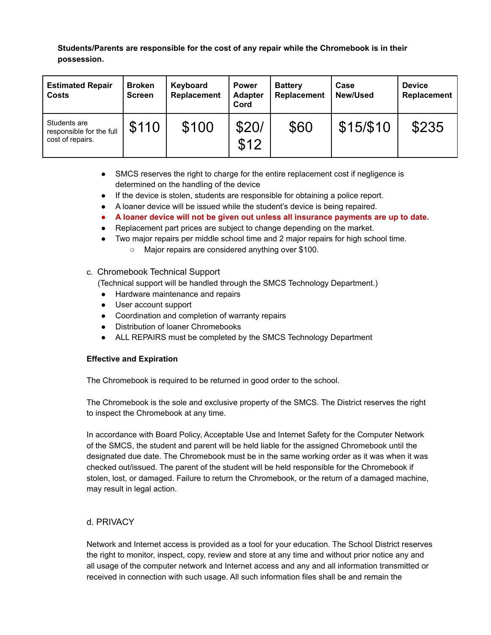**Students/Parents are responsible for the cost of any repair while the Chromebook is in their possession.**

| <b>Estimated Repair</b><br><b>Costs</b>                      | <b>Broken</b><br><b>Screen</b> | Keyboard<br>Replacement | <b>Power</b><br><b>Adapter</b><br>Cord | <b>Battery</b><br>Replacement | Case<br><b>New/Used</b> | <b>Device</b><br>Replacement |
|--------------------------------------------------------------|--------------------------------|-------------------------|----------------------------------------|-------------------------------|-------------------------|------------------------------|
| Students are<br>responsible for the full<br>cost of repairs. | \$110                          | \$100                   | \$20/<br>\$12                          | \$60                          | \$15/\$10               | \$235                        |

- SMCS reserves the right to charge for the entire replacement cost if negligence is determined on the handling of the device
- If the device is stolen, students are responsible for obtaining a police report.
- A loaner device will be issued while the student's device is being repaired.
- **● A loaner device will not be given out unless all insurance payments are up to date.**
- Replacement part prices are subject to change depending on the market.
- Two major repairs per middle school time and 2 major repairs for high school time.
	- Major repairs are considered anything over \$100.

#### c. Chromebook Technical Support

(Technical support will be handled through the SMCS Technology Department.)

- Hardware maintenance and repairs
- User account support
- Coordination and completion of warranty repairs
- Distribution of loaner Chromebooks
- ALL REPAIRS must be completed by the SMCS Technology Department

#### **Effective and Expiration**

The Chromebook is required to be returned in good order to the school.

The Chromebook is the sole and exclusive property of the SMCS. The District reserves the right to inspect the Chromebook at any time.

In accordance with Board Policy, Acceptable Use and Internet Safety for the Computer Network of the SMCS, the student and parent will be held liable for the assigned Chromebook until the designated due date. The Chromebook must be in the same working order as it was when it was checked out/issued. The parent of the student will be held responsible for the Chromebook if stolen, lost, or damaged. Failure to return the Chromebook, or the return of a damaged machine, may result in legal action.

## d. PRIVACY

Network and Internet access is provided as a tool for your education. The School District reserves the right to monitor, inspect, copy, review and store at any time and without prior notice any and all usage of the computer network and Internet access and any and all information transmitted or received in connection with such usage. All such information files shall be and remain the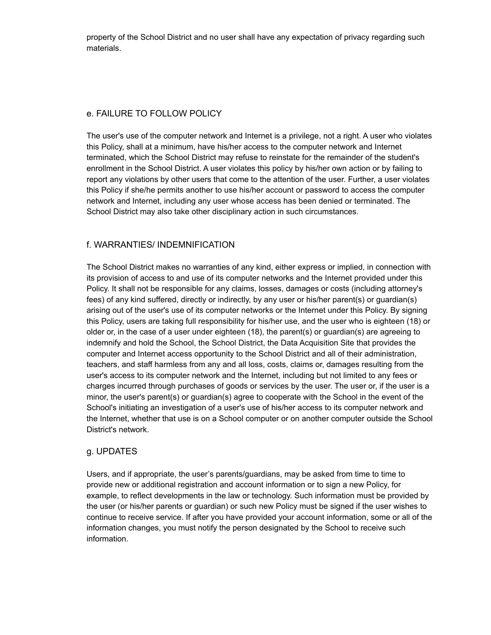property of the School District and no user shall have any expectation of privacy regarding such materials.

## e. FAILURE TO FOLLOW POLICY

The user's use of the computer network and Internet is a privilege, not a right. A user who violates this Policy, shall at a minimum, have his/her access to the computer network and Internet terminated, which the School District may refuse to reinstate for the remainder of the student's enrollment in the School District. A user violates this policy by his/her own action or by failing to report any violations by other users that come to the attention of the user. Further, a user violates this Policy if she/he permits another to use his/her account or password to access the computer network and Internet, including any user whose access has been denied or terminated. The School District may also take other disciplinary action in such circumstances.

## f. WARRANTIES/ INDEMNIFICATION

The School District makes no warranties of any kind, either express or implied, in connection with its provision of access to and use of its computer networks and the Internet provided under this Policy. It shall not be responsible for any claims, losses, damages or costs (including attorney's fees) of any kind suffered, directly or indirectly, by any user or his/her parent(s) or guardian(s) arising out of the user's use of its computer networks or the Internet under this Policy. By signing this Policy, users are taking full responsibility for his/her use, and the user who is eighteen (18) or older or, in the case of a user under eighteen (18), the parent(s) or guardian(s) are agreeing to indemnify and hold the School, the School District, the Data Acquisition Site that provides the computer and Internet access opportunity to the School District and all of their administration, teachers, and staff harmless from any and all loss, costs, claims or, damages resulting from the user's access to its computer network and the Internet, including but not limited to any fees or charges incurred through purchases of goods or services by the user. The user or, if the user is a minor, the user's parent(s) or guardian(s) agree to cooperate with the School in the event of the School's initiating an investigation of a user's use of his/her access to its computer network and the Internet, whether that use is on a School computer or on another computer outside the School District's network.

## g. UPDATES

Users, and if appropriate, the user's parents/guardians, may be asked from time to time to provide new or additional registration and account information or to sign a new Policy, for example, to reflect developments in the law or technology. Such information must be provided by the user (or his/her parents or guardian) or such new Policy must be signed if the user wishes to continue to receive service. If after you have provided your account information, some or all of the information changes, you must notify the person designated by the School to receive such information.